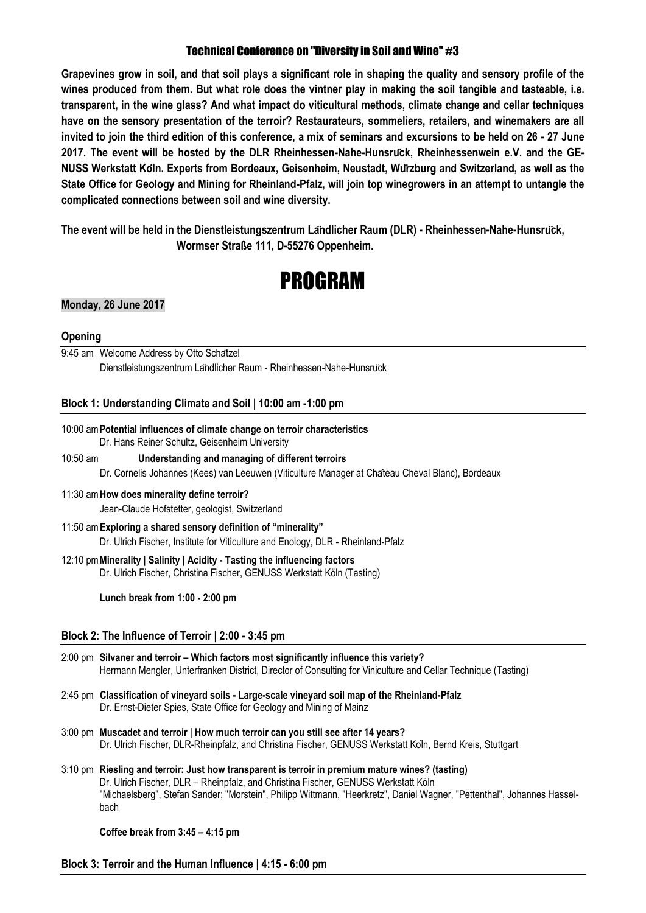# Technical Conference on "Diversity in Soil and Wine" #3

**Grapevines grow in soil, and that soil plays a significant role in shaping the quality and sensory profile of the wines produced from them. But what role does the vintner play in making the soil tangible and tasteable, i.e. transparent, in the wine glass? And what impact do viticultural methods, climate change and cellar techniques have on the sensory presentation of the terroir? Restaurateurs, sommeliers, retailers, and winemakers are all invited to join the third edition of this conference, a mix of seminars and excursions to be held on 26 - 27 June 2017. The event will be hosted by the DLR Rheinhessen-Nahe-Hunsrück, Rheinhessenwein e.V. and the GE-NUSS Werkstatt Köln. Experts from Bordeaux, Geisenheim, Neustadt, Würzburg and Switzerland, as well as the State Office for Geology and Mining for Rheinland-Pfalz, will join top winegrowers in an attempt to untangle the complicated connections between soil and wine diversity.**

**The event will be held in the Dienstleistungszentrum Ländlicher Raum (DLR) - Rheinhessen-Nahe-Hunsrück, Wormser Straße 111, D-55276 Oppenheim.**

# PROGRAM

# **Monday, 26 June 2017**

#### **Opening**

9:45 am Welcome Address by Otto Schatzel Dienstleistungszentrum Ländlicher Raum - Rheinhessen-Nahe-Hunsrück

# **Block 1: Understanding Climate and Soil | 10:00 am -1:00 pm**

- 10:00 am**Potential influences of climate change on terroir characteristics** Dr. Hans Reiner Schultz, Geisenheim University
- 10:50 am **Understanding and managing of different terroirs** Dr. Cornelis Johannes (Kees) van Leeuwen (Viticulture Manager at Château Cheval Blanc), Bordeaux
- 11:30 am**How does minerality define terroir?**  Jean-Claude Hofstetter, geologist, Switzerland
- 11:50 am**Exploring a shared sensory definition of "minerality"** Dr. Ulrich Fischer, Institute for Viticulture and Enology, DLR - Rheinland-Pfalz
- 12:10 pm**Minerality | Salinity | Acidity - Tasting the influencing factors** Dr. Ulrich Fischer, Christina Fischer, GENUSS Werkstatt Köln (Tasting)

**Lunch break from 1:00 - 2:00 pm**

#### **Block 2: The Influence of Terroir | 2:00 - 3:45 pm**

- 2:00 pm **Silvaner and terroir – Which factors most significantly influence this variety?** Hermann Mengler, Unterfranken District, Director of Consulting for Viniculture and Cellar Technique (Tasting)
- 2:45 pm **Classification of vineyard soils - Large-scale vineyard soil map of the Rheinland-Pfalz** Dr. Ernst-Dieter Spies, State Office for Geology and Mining of Mainz
- 3:00 pm **Muscadet and terroir | How much terroir can you still see after 14 years?** Dr. Ulrich Fischer, DLR-Rheinpfalz, and Christina Fischer, GENUSS Werkstatt Köln, Bernd Kreis, Stuttgart
- 3:10 pm **Riesling and terroir: Just how transparent is terroir in premium mature wines? (tasting)** Dr. Ulrich Fischer, DLR – Rheinpfalz, and Christina Fischer, GENUSS Werkstatt Köln "Michaelsberg", Stefan Sander; "Morstein", Philipp Wittmann, "Heerkretz", Daniel Wagner, "Pettenthal", Johannes Hasselbach

#### **Coffee break from 3:45 – 4:15 pm**

**Block 3: Terroir and the Human Influence | 4:15 - 6:00 pm**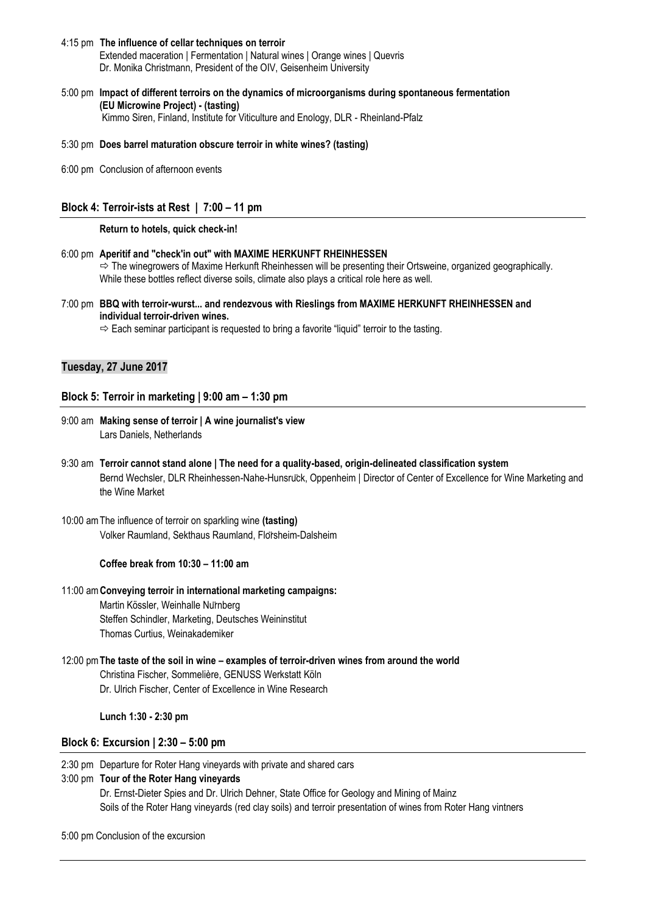- 4:15 pm **The influence of cellar techniques on terroir** Extended maceration | Fermentation | Natural wines | Orange wines | Quevris Dr. Monika Christmann, President of the OIV, Geisenheim University
- 5:00 pm **Impact of different terroirs on the dynamics of microorganisms during spontaneous fermentation (EU Microwine Project) - (tasting)** Kimmo Siren, Finland, Institute for Viticulture and Enology, DLR - Rheinland-Pfalz

5:30 pm **Does barrel maturation obscure terroir in white wines? (tasting)**

6:00 pm Conclusion of afternoon events

# **Block 4: Terroir-ists at Rest | 7:00 – 11 pm**

#### **Return to hotels, quick check-in!**

- 6:00 pm **Aperitif and "check'in out" with MAXIME HERKUNFT RHEINHESSEN**  $\Rightarrow$  The winegrowers of Maxime Herkunft Rheinhessen will be presenting their Ortsweine, organized geographically. While these bottles reflect diverse soils, climate also plays a critical role here as well.
- 7:00 pm **BBQ with terroir-wurst... and rendezvous with Rieslings from MAXIME HERKUNFT RHEINHESSEN and individual terroir-driven wines.**

 $\Rightarrow$  Each seminar participant is requested to bring a favorite "liquid" terroir to the tasting.

#### **Tuesday, 27 June 2017**

#### **Block 5: Terroir in marketing | 9:00 am – 1:30 pm**

- 9:00 am **Making sense of terroir | A wine journalist's view** Lars Daniels, Netherlands
- 9:30 am **Terroir cannot stand alone | The need for a quality-based, origin-delineated classification system** Bernd Wechsler, DLR Rheinhessen-Nahe-Hunsrück, Oppenheim | Director of Center of Excellence for Wine Marketing and the Wine Market
- 10:00 amThe influence of terroir on sparkling wine **(tasting)** Volker Raumland, Sekthaus Raumland, Flörsheim-Dalsheim

#### **Coffee break from 10:30 – 11:00 am**

# 11:00 am**Conveying terroir in international marketing campaigns:**

Martin Kössler, Weinhalle Nürnberg Steffen Schindler, Marketing, Deutsches Weininstitut Thomas Curtius, Weinakademiker

12:00 pm**The taste of the soil in wine – examples of terroir-driven wines from around the world** Christina Fischer, Sommelière, GENUSS Werkstatt Köln Dr. Ulrich Fischer, Center of Excellence in Wine Research

#### **Lunch 1:30 - 2:30 pm**

# **Block 6: Excursion | 2:30 – 5:00 pm**

2:30 pm Departure for Roter Hang vineyards with private and shared cars

# 3:00 pm **Tour of the Roter Hang vineyards**

Dr. Ernst-Dieter Spies and Dr. Ulrich Dehner, State Office for Geology and Mining of Mainz Soils of the Roter Hang vineyards (red clay soils) and terroir presentation of wines from Roter Hang vintners

#### 5:00 pm Conclusion of the excursion